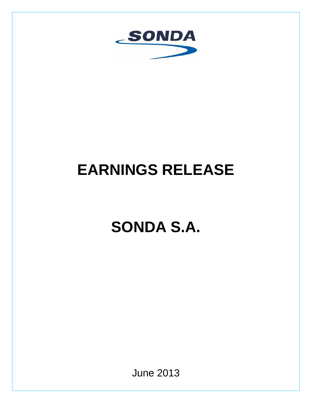

# **EARNINGS RELEASE**

# **SONDA S.A.**

June 2013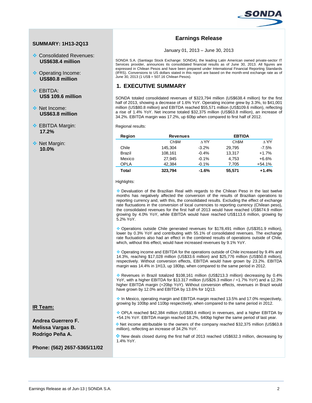

## **SUMMARY: 1H13-2Q13**

- Consolidated Revenues: **US\$638.4 million**
- ◆ Operating Income: **US\$80.8 million**
- ❖ FRITDA· **US\$ 109.6 million**
- ◆ Net Income: **US\$63.8 million**
- **EBITDA Margin: 17.2%**
- **EXEC** Margin: **10.0%**

# **Earnings Release**

January 01, 2013 – June 30, 2013

SONDA S.A. (Santiago Stock Exchange: SONDA), the leading Latin American owned private-sector IT Services provider, announces its consolidated financial results as of June 30, 2013. All figures are expressed in Chilean Pesos and have been prepared under International Financial Reporting Standards (IFRS). Conversions to US dollars stated in this report are based on the month-end exchange rate as of June 30, 2013 (1 US\$ = 507.16 Chilean Pesos).

# **1. EXECUTIVE SUMMARY**

SONDA totaled consolidated revenues of \$323,794 million (US\$638.4 million) for the first half of 2013, showing a decrease of 1.6% YoY. Operating income grew by 3.3%, to \$41,001 million (US\$80.8 million) and EBITDA reached \$55,571 million (US\$109.6 million), reflecting a rise of 1.4% YoY. Net income totaled \$32,375 million (US\$63.8 million), an increase of 34.2%. EBITDA margin was 17.2%, up 60bp when compared to first half of 2012.

Regional results:

| Region      | <b>Revenues</b>   |              | <b>EBTIDA</b>     |              |
|-------------|-------------------|--------------|-------------------|--------------|
|             | Ch <sub>\$M</sub> | $\wedge$ Y/Y | Ch <sub>\$M</sub> | $\wedge$ Y/Y |
| Chile       | 145.304           | $-3.2%$      | 29.795            | $-7.5%$      |
| Brazil      | 108,161           | $-0.4%$      | 13,317            | $+1.7%$      |
| Mexico      | 27.945            | $-0.1%$      | 4,753             | $+6.6%$      |
| <b>OPLA</b> | 42.384            | $-0.1%$      | 7,705             | $+54.1%$     |
| Total       | 323,794           | $-1.6%$      | 55,571            | $+1.4%$      |

Highlights:

 Devaluation of the Brazilian Real with regards to the Chilean Peso in the last twelve months has negatively affected the conversion of the results of Brazilian operations to reporting currency and, with this, the consolidated results. Excluding the effect of exchange rate fluctuations in the conversion of local currencies to reporting currency (Chilean peso), the consolidated revenues for the first half of 2013 would have reached US\$674.9 million growing by 4.0% YoY, while EBITDA would have reached US\$113.6 million, growing by 5.2% YoY.

 Operations outside Chile generated revenues for \$178,491 million (US\$351.9 million), lower by 0.3% YoY and contributing with 55.1% of consolidated revenues. The exchange rate fluctuations also had an effect in the combined results of operations outside of Chile, which, without this effect, would have increased revenues by 9.1% YoY.

 Operating income and EBITDA for the operations outside of Chile increased by 9.4% and 14.3%, reaching \$17,028 million (US\$33.6 million) and \$25,776 million (US\$50.8 million), respectively. Without conversion effects, EBITDA would have grown by 23.2%. EBITDA margin was 14.4% in 1H13, up 180bp, when compared to the same period in 2012.

 Revenues in Brazil totalized \$108,161 million (US\$213.3 million) decreasing by 0.4% YoY, with a higher EBITDA for \$13.317 million (US\$26.3 million / +1.7% YoY) and a 12.3% higher EBITDA margin (+20bp YoY). Without conversion effects, revenues in Brazil would have grown by 12.0% and EBITDA by 13.6% for 1Q13.

 In Mexico, operating margin and EBITDA margin reached 13.5% and 17.0% respectively, growing by 100bp and 110bp respectively, when compared to the same period in 2012.

 OPLA reached \$42,384 million (US\$83.6 million) in revenues, and a higher EBITDA by +54.1% YoY. EBITDA margin reached 18.2%, 640bp higher the same period of last year.

 Net income attributable to the owners of the company reached \$32,375 million (US\$63.8 million), reflecting an increase of 34.2% YoY.

New deals closed during the first half of 2013 reached US\$632.3 million, decreasing by 1.4% YoY.

**IR Team:**

**Andrea Guerrero F. Melissa Vargas B. Rodrigo Peña A.**

**Phone: (562) 2657-5365/11/02**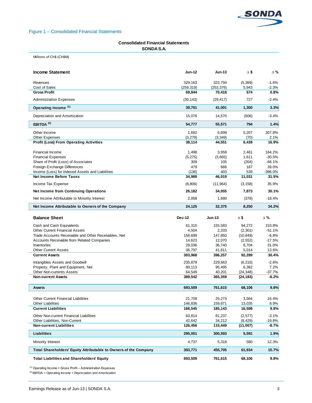

## Figure 1 – Consolidated Financial Statements

### **Consolidated Financial Statements SONDA S.A.**

Millions of Ch\$ (Ch\$M)

| <b>Income Statement</b>                                          | <b>Jun-12</b> | <b>Jun-13</b>    | $\Delta$ \$ | Δ%         |
|------------------------------------------------------------------|---------------|------------------|-------------|------------|
| Revenues                                                         | 329,163       | 323.794          | (5, 369)    | $-1.6%$    |
| Cost of Sales                                                    | (259, 319)    | (253, 376)       | 5,943       | $-2.3%$    |
| <b>Gross Profit</b>                                              | 69,844        | 70,418           | 574         | 0.8%       |
| <b>Administration Expenses</b>                                   | (30, 143)     | (29, 417)        | 727         | $-2.4%$    |
| Operating Income (1)                                             | 39,701        | 41,001           | 1,300       | 3.3%       |
| Depreciation and Amortization                                    | 15,076        | 14,570           | (506)       | $-3.4%$    |
| EBITDA $(2)$                                                     | 54,777        | 55,571           | 794         | 1.4%       |
| Other Income                                                     | 1,692         | 6,899            | 5,207       | 307.8%     |
| <b>Other Expenses</b>                                            | (3, 279)      | (3,349)          | (70)        | 2.1%       |
| <b>Profit (Loss) From Operating Activities</b>                   | 38,114        | 44,551           | 6,438       | 16.9%      |
| Financial Income                                                 | 1,498         | 3,959            | 2,461       | 164.2%     |
| <b>Financial Expenses</b>                                        | (5, 275)      | (3,665)          | 1,611       | $-30.5%$   |
| Share of Profit (Loss) of Associates                             | 309           | 105              | (204)       | $-66.1%$   |
| Foreign Exchange Differences                                     | 479           | 666              | 187         | 39.0%      |
| Income (Loss) for Indexed Assets and Liabilities                 | (136)         | 403              | 539         | $-396.0%$  |
| <b>Net Income Before Taxes</b>                                   | 34,989        | 46,019           | 11,031      | 31.5%      |
| Income Tax Expense                                               | (8,806)       | (11, 964)        | (3, 158)    | 35.9%      |
| <b>Net Income from Continuing Operations</b>                     | 26,182        | 34,055           | 7,873       | 30.1%      |
| Net Income Attributable to Minority Interest                     | 2,058         | 1,680            | (378)       | $-18.4%$   |
| Net Income Attributable to Owners of the Company                 | 24,125        | 32,375           | 8,250       | 34.2%      |
|                                                                  |               |                  |             |            |
| <b>Balance Sheet</b>                                             | <b>Dec-12</b> | $Jun-13$         | Δ\$         | $\Delta$ % |
| Cash and Cash Equivalents                                        | 61,310        |                  | 94,272      | 153.8%     |
| <b>Other Current Financial Assets</b>                            | 4,504         | 155,583<br>2,203 | (2,301)     | $-51.1%$   |
| Trade Accounts Receivable and Other Receivables, Net             | 158,699       | 147,850          | (10, 849)   | $-6.8%$    |
| Accounts Receivable from Related Companies                       | 14,623        | 12,070           | (2, 552)    | $-17.5%$   |
| Inventories                                                      | 28,036        | 36,740           | 8,704       | 31.0%      |
| <b>Other Current Assets</b>                                      | 36,797        | 41,811           | 5,014       | 13.6%      |
| <b>Current Assets</b>                                            | 303,968       | 396,257          | 92,289      | 30.4%      |
| Intangibles Assets and Goodwill                                  | 235,879       | 229,663          | (6, 216)    | $-2.6%$    |
| Property, Plant and Equipment, Net                               | 89,113        | 95,495           | 6,382       | 7.2%       |
| <b>Other Non-currents Assets</b>                                 | 64,549        | 40,201           | (24, 348)   | $-37.7%$   |
| <b>Non-current Assets</b>                                        | 389,542       | 365,359          | (24, 183)   | -6.2%      |
| <b>Assets</b>                                                    | 693,509       | 761,615          | 68,106      | 9.8%       |
|                                                                  |               |                  |             |            |
| <b>Other Current Financial Liabilities</b>                       | 21,709        | 25,273           | 3,564       | 16.4%      |
| <b>Other Liabilities</b>                                         | 146,836       | 159,871          | 13,035      | 8.9%       |
| <b>Current Liabilities</b>                                       | 168,545       | 185,143          | 16,598      | 9.8%       |
| Other Non-current Financial Liabilities                          | 83,814        | 81,237           | (2,577)     | $-3.1%$    |
| Other Liabilities, Non-Current                                   | 42,642        | 34,212           | (8, 429)    | $-19.8%$   |
| <b>Non-current Liabilities</b>                                   | 126,456       | 115,449          | (11,007)    | -8.7%      |
| Liabilities                                                      | 295,001       | 300,593          | 5,591       | 1.9%       |
| Minority Interest                                                | 4,737         | 5,318            | 580         | 12.3%      |
| Total Shareholders' Equity Attributable to Owners of the Company | 393,771       | 455,705          | 61,934      | 15.7%      |

 $(1)$  Operating Income = Gross Profit – Administration Expenses

(2) EBITDA = Operating Income + Depreciation and Amortization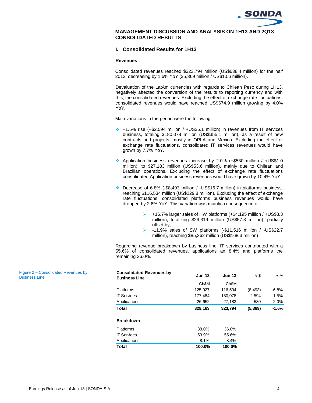

## **MANAGEMENT DISCUSSION AND ANALYSIS ON 1H13 AND 2Q13 CONSOLIDATED RESULTS**

## **I. Consolidated Results for 1H13**

#### **Revenues**

Consolidated revenues reached \$323,794 million (US\$638.4 million) for the half 2013, decreasing by 1.6% YoY (\$5,369 million / US\$10.6 million).

Devaluation of the LatAm currencies with regards to Chilean Peso during 1H13, negatively affected the conversion of the results to reporting currency and with this, the consolidated revenues. Excluding the effect of exchange rate fluctuations, consolidated revenues would have reached US\$674.9 million growing by 4.0% YoY.

Main variations in the period were the following:

- $\div$  +1.5% rise (+\$2,594 million / +US\$5.1 million) in revenues from IT services business, totaling \$180,078 million (US\$355.1 million), as a result of new contracts and projects, mostly in OPLA and Mexico. Excluding the effect of exchange rate fluctuations, consolidated IT services revenues would have grown by 7.7% YoY.
- Application business revenues increase by 2.0% (+\$530 million / +US\$1.0 million), to \$27,183 million (US\$53.6 million), mainly due to Chilean and Brazilian operations. Excluding the effect of exchange rate fluctuations consolidated Application business revenues would have grown by 10.4% YoY.
- Decrease of 6.8% (-\$8,493 million / -US\$16.7 million) in platforms business, reaching \$116,534 million (US\$229.8 million), Excluding the effect of exchange rate fluctuations, consolidated platforms business revenues would have dropped by 2.6% YoY. This variation was mainly a consequence of:
	- +16.7% larger sales of HW platforms (+\$4,195 million / +US\$8.3 million), totalizing \$29,319 million (US\$57.8 million), partially offset by,
	- -11.9% sales of SW platforms (-\$11,516 million / -US\$22.7 million), reaching \$85,362 million (US\$168.3 million)

Regarding revenue breakdown by business line, IT services contributed with a 55.6% of consolidated revenues, applications an 8.4% and platforms the remaining 36.0%.

| <b>Consolidated Revenues by</b><br><b>Business Line</b> | <b>Jun-12</b>     | $Jun-13$          | Δ\$      | $\Delta \%$ |
|---------------------------------------------------------|-------------------|-------------------|----------|-------------|
|                                                         | Ch <sub>\$M</sub> | Ch <sub>\$M</sub> |          |             |
| <b>Platforms</b>                                        | 125,027           | 116,534           | (8, 493) | $-6.8%$     |
| <b>IT Services</b>                                      | 177,484           | 180,078           | 2,594    | 1.5%        |
| Applications                                            | 26,652            | 27,183            | 530      | 2.0%        |
| Total                                                   | 329,163           | 323.794           | (5, 369) | $-1.6%$     |
| <b>Breakdown</b>                                        |                   |                   |          |             |
| <b>Platforms</b>                                        | 38.0%             | 36.0%             |          |             |
| <b>IT Services</b>                                      | 53.9%             | 55.6%             |          |             |
| Applications                                            | 8.1%              | 8.4%              |          |             |
| Total                                                   | 100.0%            | 100.0%            |          |             |

Figure 2 – Consolidated Revenues by Business Line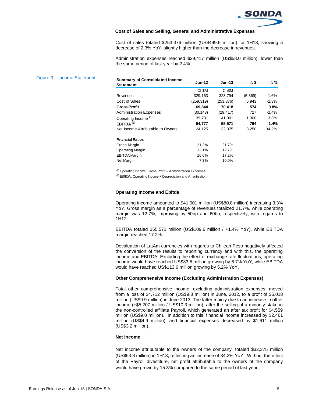

#### **Cost of Sales and Selling, General and Administrative Expenses**

Cost of sales totaled \$253,376 million (US\$499.6 million) for 1H13, showing a decrease of 2.3% YoY, slightly higher than the decrease in revenues.

Administration expenses reached \$29,417 million (US\$58.0 million), lower than the same period of last year by 2.4%.

| Figure 3 - Income Statement | <b>Summary of Consolidated Income</b><br><b>Statement</b> | <b>Jun-12</b> | $Jun-13$   | Δ\$     | Δ%      |
|-----------------------------|-----------------------------------------------------------|---------------|------------|---------|---------|
|                             |                                                           | Ch\$M         | Ch\$M      |         |         |
|                             | <b>Revenues</b>                                           | 329,163       | 323,794    | (5,369) | $-1.6%$ |
|                             | Cost of Sales                                             | (259, 319)    | (253, 376) | 5,943   | $-2.3%$ |
|                             | <b>Gross Profit</b>                                       | 69,844        | 70,418     | 574     | 0.8%    |
|                             | <b>Administration Expenses</b>                            | (30, 143)     | (29, 417)  | 727     | $-2.4%$ |
|                             | Operating Income <sup>(1)</sup>                           | 39,701        | 41,001     | 1,300   | 3.3%    |
|                             | EBITDA $(2)$                                              | 54,777        | 55,571     | 794     | 1.4%    |
|                             | Net Income Attributable to Owners                         | 24,125        | 32,375     | 8,250   | 34.2%   |
|                             | <b>Financial Ratios</b>                                   |               |            |         |         |
|                             | Gross Margin                                              | 21.2%         | 21.7%      |         |         |
|                             | <b>Operating Margin</b>                                   | 12.1%         | 12.7%      |         |         |
|                             | <b>EBITDA</b> Margin                                      | 16.6%         | 17.2%      |         |         |
|                             | Net Margin                                                | 7.3%          | 10.0%      |         |         |

(1) Operating Income: Gross Profit – Administration Expenses

 $(2)$  EBITDA: Operating Income + Depreciation and Amortization

#### **Operating Income and Ebitda**

Operating income amounted to \$41,001 million (US\$80.8 million) increasing 3.3% YoY. Gross margin as a percentage of revenues totalized 21.7%, while operating margin was 12.7%, improving by 50bp and 60bp, respectively, with regards to 1H12.

EBITDA totaled \$55,571 million (US\$109.6 million / +1.4% YoY), while EBITDA margin reached 17.2%.

Devaluation of LatAm currencies with regards to Chilean Peso negatively affected the conversion of the results to reporting currency and with this, the operating income and EBITDA. Excluding the effect of exchange rate fluctuations, operating income would have reached US\$83.5 million growing by 6.7% YoY, while EBITDA would have reached US\$113.6 million growing by 5.2% YoY.

#### **Other Comprehensive Income (Excluding Administration Expenses)**

Total other comprehensive income, excluding administration expenses, moved from a loss of \$4,712 million (US\$9.3 million) in June, 2012, to a profit of \$5,018 million (US\$9.9 million) in June 2013. The latter mainly due to an increase in other income (+\$5,207 million / US\$10.3 million), after the selling of a minority stake in the non-controlled affiliate Payroll, which generated an after tax profit for \$4,559 million (US\$9.0 million). In addition to this, financial income increased by \$2,461 million (US\$4.9 million), and financial expenses decreased by \$1,611 million (US\$3.2 million).

#### **Net Income**

Net income attributable to the owners of the company, totaled \$32,375 million (US\$63.8 million) in 1H13, reflecting an increase of 34.2% YoY. Without the effect of the Payroll divestiture, net profit attributable to the owners of the company would have grown by 15.3% compared to the same period of last year.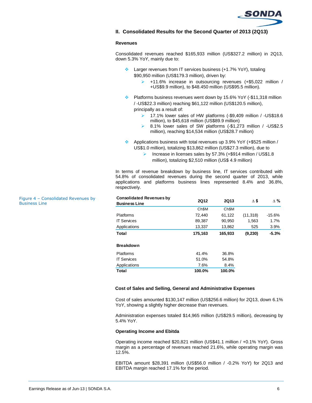

**II. Consolidated Results for the Second Quarter of 2013 (2Q13)**

#### **Revenues**

Consolidated revenues reached \$165,933 million (US\$327.2 million) in 2Q13, down 5.3% YoY, mainly due to:

- ◆ Larger revenues from IT services business (+1.7% YoY), totaling \$90,950 million (US\$179.3 million), driven by:
	- +11.6% increase in outsourcing revenues (+\$5,022 million / +US\$9.9 million), to \$48.450 million (US\$95.5 million).
- Platforms business revenues went down by 15.6% YoY (-\$11,318 million / -US\$22.3 million) reaching \$61,122 million (US\$120.5 million), principally as a result of:
	- ▶ 17.1% lower sales of HW platforms (-\$9,409 million / -US\$18.6 million), to \$45,618 million (US\$89.9 million)
	- $\triangleright$  8.1% lower sales of SW platforms (-\$1,273 million / -US\$2.5 million), reaching \$14,534 million (US\$28.7 million)
- Applications business with total revenues up 3.9% YoY (+\$525 million / US\$1.0 million), totalizing \$13,862 million (US\$27.3 million), due to
	- Increase in licenses sales by  $57.3\%$  (+\$914 million / US\$1.8) million), totalizing \$2,510 million (US\$ 4.9 million)

In terms of revenue breakdown by business line, IT services contributed with 54.8% of consolidated revenues during the second quarter of 2013, while applications and platforms business lines represented 8.4% and 36.8%, respectively.

| <b>Consolidated Revenues by</b><br><b>Business Line</b> | <b>2Q12</b>       | <b>2Q13</b>       | Δ\$       | $\Delta \%$ |
|---------------------------------------------------------|-------------------|-------------------|-----------|-------------|
|                                                         | Ch <sub>\$M</sub> | Ch <sub>\$M</sub> |           |             |
| <b>Platforms</b>                                        | 72.440            | 61,122            | (11, 318) | $-15.6\%$   |
| <b>IT Services</b>                                      | 89,387            | 90,950            | 1,563     | 1.7%        |
| Applications                                            | 13,337            | 13,862            | 525       | 3.9%        |
| Total                                                   | 175,163           | 165,933           | (9, 230)  | $-5.3%$     |
| <b>Breakdown</b>                                        |                   |                   |           |             |
| <b>Platforms</b>                                        | 41.4%             | 36.8%             |           |             |
| <b>IT Services</b>                                      | 51.0%             | 54.8%             |           |             |
| Applications                                            | 7.6%              | 8.4%              |           |             |
| Total                                                   | 100.0%            | 100.0%            |           |             |

#### **Cost of Sales and Selling, General and Administrative Expenses**

Cost of sales amounted \$130,147 million (US\$256.6 million) for 2Q13, down 6.1% YoY, showing a slightly higher decrease than revenues.

Administration expenses totaled \$14,965 million (US\$29.5 million), decreasing by 5.4% YoY.

#### **Operating Income and Ebitda**

Operating income reached \$20,821 million (US\$41.1 million / +0.1% YoY). Gross margin as a percentage of revenues reached 21.6%, while operating margin was 12.5%.

EBITDA amount \$28,391 million (US\$56.0 million / -0.2% YoY) for 2Q13 and EBITDA margin reached 17.1% for the period.

Figure 4 – Consolidated Revenues by Business Line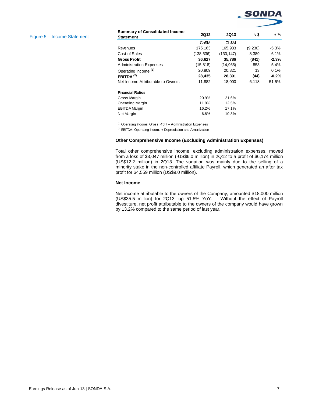

#### Figure 5 – Income Statement

| <b>Summary of Consolidated Income</b><br><b>Statement</b> | <b>2Q12</b>       | <b>2Q13</b>       | Δ\$     | $\Delta$ % |
|-----------------------------------------------------------|-------------------|-------------------|---------|------------|
|                                                           | Ch <sub>\$M</sub> | Ch <sub>\$M</sub> |         |            |
| Revenues                                                  | 175,163           | 165,933           | (9,230) | $-5.3%$    |
| Cost of Sales                                             | (138, 536)        | (130, 147)        | 8,389   | $-6.1%$    |
| <b>Gross Profit</b>                                       | 36,627            | 35,786            | (841)   | $-2.3%$    |
| <b>Administration Expenses</b>                            | (15, 818)         | (14, 965)         | 853     | $-5.4%$    |
| Operating Income (1)                                      | 20,809            | 20,821            | 13      | 0.1%       |
| EBITDA <sup>(2)</sup>                                     | 28.435            | 28,391            | (44)    | $-0.2%$    |
| Net Income Attributable to Owners                         | 11,882            | 18.000            | 6.118   | 51.5%      |
| <b>Financial Ratios</b>                                   |                   |                   |         |            |
| Gross Margin                                              | 20.9%             | 21.6%             |         |            |
| <b>Operating Margin</b>                                   | 11.9%             | 12.5%             |         |            |
| <b>EBITDA</b> Margin                                      | 16.2%             | 17.1%             |         |            |
| Net Margin                                                | 6.8%              | 10.8%             |         |            |

(1) Operating Income: Gross Profit – Administration Expenses

(2) EBITDA: Operating Income + Depreciation and Amortization

## **Other Comprehensive Income (Excluding Administration Expenses)**

Total other comprehensive income, excluding administration expenses, moved from a loss of \$3,047 million (-US\$6.0 million) in 2Q12 to a profit of \$6,174 million (US\$12.2 million) in 2Q13. The variation was mainly due to the selling of a minority stake in the non-controlled affiliate Payroll, which generated an after tax profit for \$4,559 million (US\$9.0 million).

#### **Net Income**

Net income attributable to the owners of the Company, amounted \$18,000 million (US\$35.5 million) for 2Q13, up 51.5% YoY. Without the effect of Payroll divestiture, net profit attributable to the owners of the company would have grown by 13.2% compared to the same period of last year.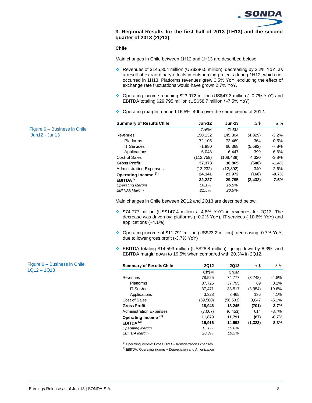

## **3. Regional Results for the first half of 2013 (1H13) and the second quarter of 2013 (2Q13)**

#### **Chile**

Main changes in Chile between 1H12 and 1H13 are described below:

- Revenues of \$145,304 million (US\$286.5 million), decreasing by 3.2% YoY, as a result of extraordinary effects in outsourcing projects during 1H12, which not occurred in 1H13. Platforms revenues grew 0.5% YoY, excluding the effect of exchange rate fluctuations would have grown 2.7% YoY.
- Operating income reaching \$23,972 million (US\$47.3 million / -0.7% YoY) and EBITDA totaling \$29,795 million (US\$58.7 million / -7.5% YoY)
- Operating margin reached 16.5%, 40bp over the same period of 2012.

| <b>Summary of Results Chile</b> | <b>Jun-12</b>     | $Jun-13$          | Δ\$      | $\Delta$ % |
|---------------------------------|-------------------|-------------------|----------|------------|
|                                 | Ch <sub>\$M</sub> | Ch <sub>\$M</sub> |          |            |
| Revenues                        | 150,132           | 145,304           | (4,829)  | $-3.2%$    |
| <b>Platforms</b>                | 72,105            | 72,469            | 364      | 0.5%       |
| <b>IT Services</b>              | 71,980            | 66,388            | (5,592)  | $-7.8%$    |
| Applications                    | 6.048             | 6.447             | 399      | 6.6%       |
| Cost of Sales                   | (112, 759)        | (108, 439)        | 4,320    | $-3.8%$    |
| <b>Gross Profit</b>             | 37,373            | 36,865            | (508)    | $-1.4%$    |
| <b>Administration Expenses</b>  | (13, 232)         | (12, 892)         | 340      | $-2.6%$    |
| Operating Income <sup>(1)</sup> | 24,141            | 23,972            | (168)    | $-0.7%$    |
| EBITDA $(2)$                    | 32,227            | 29.795            | (2, 432) | $-7.5\%$   |
| <b>Operating Margin</b>         | 16.1%             | 16.5%             |          |            |
| <b>EBITDA Margin</b>            | 21.5%             | 20.5%             |          |            |

Main changes in Chile between 2Q12 and 2Q13 are described below:

- \$74,777 million (US\$147.4 million / -4.8% YoY) in revenues for 2Q13. The decrease was driven by: platforms (+0.2% YoY), IT services (-10.6% YoY) and applications (+4.1%)
- ◆ Operating income of \$11,791 million (US\$23.2 million), decreasing 0.7% YoY, due to lower gross profit (-3.7% YoY)
- EBITDA totaling \$14,593 million (US\$28.8 million), going down by 8.3%, and EBITDA margin down to 19.5% when compared with 20.3% in 2Q12.

| <b>Summary of Results Chile</b> | <b>2Q12</b>       | <b>2Q13</b>       | Δ\$      | $\Delta \%$ |
|---------------------------------|-------------------|-------------------|----------|-------------|
|                                 | Ch <sub>\$M</sub> | Ch <sub>\$M</sub> |          |             |
| Revenues                        | 78,525            | 74,777            | (3,748)  | $-4.8%$     |
| <b>Platforms</b>                | 37,726            | 37,795            | 69       | 0.2%        |
| <b>IT Services</b>              | 37.471            | 33,517            | (3, 954) | $-10.6%$    |
| Applications                    | 3,328             | 3,465             | 136      | 4.1%        |
| Cost of Sales                   | (59, 580)         | (56, 533)         | 3,047    | $-5.1%$     |
| <b>Gross Profit</b>             | 18.946            | 18,245            | (701)    | $-3.7%$     |
| <b>Administration Expenses</b>  | (7,067)           | (6, 453)          | 614      | $-8.7\%$    |
| Operating Income <sup>(1)</sup> | 11.879            | 11,791            | (87)     | $-0.7%$     |
| EBITDA $(2)$                    | 15,916            | 14,593            | (1, 323) | $-8.3%$     |
| <b>Operating Margin</b>         | 15.1%             | 15.8%             |          |             |
| <b>EBITDA Margin</b>            | 20.3%             | 19.5%             |          |             |

(1) Operating Income: Gross Profit – Administration Expenses

(2) EBITDA: Operating Income + Depreciation and Amortization

Figure 6 – Business in Chile Jun12 - Jun13

Figure 6 – Business in Chile 1Q12 – 1Q13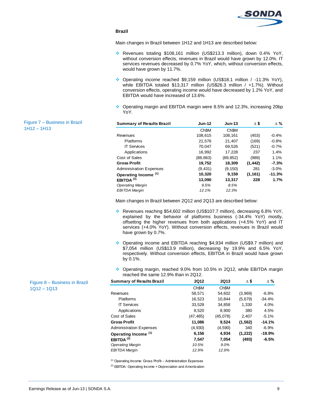

## **Brazil**

Main changes in Brazil between 1H12 and 1H13 are described below:

- Revenues totaling \$108,161 million (US\$213.3 million), down 0.4% YoY, without conversion effects, revenues in Brazil would have grown by 12.0%. IT services revenues decreased by 0.7% YoY, which, without conversion effects, would have grown by 11.7%.
- ◆ Operating income reached \$9,159 million (US\$18.1 million / -11.3% YoY), while EBITDA totaled \$13,317 million (US\$26.3 million / +1.7%). Without conversion effects, operating income would have decreased by 1.2% YoY, and EBITDA would have increased of 13.6%.
- ◆ Operating margin and EBITDA margin were 8.5% and 12.3%, increasing 20bp YoY.

| <b>Summary of Results Brazil</b> | <b>Jun-12</b>     | <b>Jun-13</b>     | Δ\$      | $\Delta$ % |
|----------------------------------|-------------------|-------------------|----------|------------|
|                                  | Ch <sub>\$M</sub> | Ch <sub>\$M</sub> |          |            |
| Revenues                         | 108,615           | 108,161           | (453)    | $-0.4%$    |
| <b>Platforms</b>                 | 21,576            | 21,407            | (169)    | $-0.8%$    |
| <b>IT Services</b>               | 70.047            | 69.526            | (521)    | $-0.7%$    |
| Applications                     | 16,992            | 17,228            | 237      | 1.4%       |
| Cost of Sales                    | (88, 863)         | (89, 852)         | (989)    | 1.1%       |
| <b>Gross Profit</b>              | 19,752            | 18,309            | (1, 442) | $-7.3%$    |
| <b>Administration Expenses</b>   | (9, 431)          | (9, 150)          | 281      | $-3.0%$    |
| Operating Income <sup>(1)</sup>  | 10,320            | 9.159             | (1, 161) | $-11.3%$   |
| EBITDA $(2)$                     | 13,090            | 13,317            | 228      | 1.7%       |
| <b>Operating Margin</b>          | 9.5%              | 8.5%              |          |            |
| EBITDA Margin                    | 12.1%             | 12.3%             |          |            |

Main changes in Brazil between 2Q12 and 2Q13 are described below:

- Revenues reaching \$54,602 million (US\$107.7 million), decreasing 6.8% YoY, explained by the behavior of platforms business (-34.4% YoY) mostly, offsetting the higher revenues from both applications (+4.5% YoY) and IT services (+4.0% YoY). Without conversion effects, revenues in Brazil would have grown by 0.7%.
- Operating income and EBITDA reaching \$4,934 million (US\$9.7 million) and \$7,054 million (US\$13.9 million), decreasing by 19.9% and 6.5% YoY, respectively. Without conversion effects, EBITDA in Brazil would have grown by 0.1%.
- Operating margin, reached 9.0% from 10.5% in 2Q12, while EBITDA margin reached the same 12.9% than in 2Q12.

| <b>Summary of Results Brazil</b> | <b>2Q12</b>       | 2Q13              | Δ\$      | $\Delta$ % |
|----------------------------------|-------------------|-------------------|----------|------------|
|                                  | Ch <sub>\$M</sub> | Ch <sub>\$M</sub> |          |            |
| Revenues                         | 58,571            | 54,602            | (3,969)  | $-6.8%$    |
| Platforms                        | 16,523            | 10.844            | (5,679)  | $-34.4%$   |
| <b>IT Services</b>               | 33,528            | 34,858            | 1,330    | 4.0%       |
| Applications                     | 8,520             | 8,900             | 380      | 4.5%       |
| Cost of Sales                    | (47, 485)         | (45,078)          | 2,407    | $-5.1\%$   |
| <b>Gross Profit</b>              | 11,086            | 9.524             | (1, 562) | $-14.1%$   |
| <b>Administration Expenses</b>   | (4,930)           | (4,590)           | 340      | $-6.9%$    |
| Operating Income <sup>(1)</sup>  | 6,156             | 4,934             | (1, 222) | $-19.9%$   |
| EBITDA $(2)$                     | 7.547             | 7.054             | (493)    | $-6.5%$    |
| <b>Operating Margin</b>          | 10.5%             | 9.0%              |          |            |
| <b>EBITDA Margin</b>             | 12.9%             | 12.9%             |          |            |

(1) Operating Income: Gross Profit – Administration Expenses

(2) EBITDA: Operating Income + Depreciation and Amortization

Figure 7 – Business in Brazil 1H12 – 1H13

> Figure 8 – Business in Brazil 1Q12 – 1Q13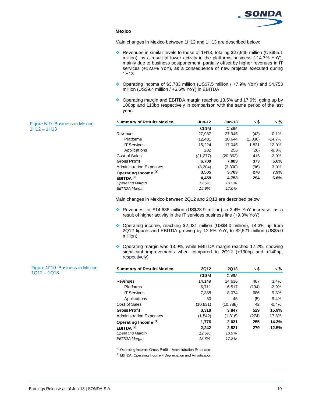

## **Mexico**

Main changes in Mexico between 1H12 and 1H13 are described below:

- Revenues in similar levels to those of 1H13, totaling \$27,945 million (US\$55.1 million), as a result of lower activity in the platforms business (-14.7% YoY), mainly due to business postponement, partially offset by higher revenues in IT services (+12.0% YoY), as a consequence of new projects executed during 1H13.
- Operating income of \$3,783 million (US\$7.5 million / +7.9% YoY) and \$4,753 million (US\$9.4 million / +6.6% YoY) in EBITDA
- Operating margin and EBITDA margin reached 13.5% and 17.0%, going up by 100bp and 110bp respectively in comparison with the same period of the last year.

| <b>Summary of Results Mexico</b> | <b>Jun-12</b> | $Jun-13$          | Δ\$     | $\Delta \%$ |
|----------------------------------|---------------|-------------------|---------|-------------|
|                                  | Ch\$M         | Ch <sub>\$M</sub> |         |             |
| Revenues                         | 27.987        | 27.945            | (42)    | $-0.1%$     |
| Platforms                        | 12,481        | 10.644            | (1,836) | $-14.7%$    |
| <b>IT Services</b>               | 15,224        | 17,045            | 1.821   | 12.0%       |
| Applications                     | 282           | 256               | (26)    | $-9.3%$     |
| Cost of Sales                    | (21, 277)     | (20, 862)         | 415     | $-2.0%$     |
| <b>Gross Profit</b>              | 6,709         | 7,083             | 373     | 5.6%        |
| <b>Administration Expenses</b>   | (3, 204)      | (3,300)           | (96)    | 3.0%        |
| Operating Income <sup>(1)</sup>  | 3,505         | 3,783             | 278     | 7.9%        |
| EBITDA $(2)$                     | 4.459         | 4.753             | 294     | 6.6%        |
| <b>Operating Margin</b>          | 12.5%         | 13.5%             |         |             |
| EBITDA Margin                    | 15.9%         | 17.0%             |         |             |

Main changes in Mexico between 2Q12 and 2Q13 are described below:

- Revenues for \$14,636 million (US\$28.9 million), a 3.4% YoY increase, as a result of higher activity in the IT services business line (+9.3% YoY)
- Operating income, reaching \$2,031 million (US\$4.0 million), 14.3% up from 2Q12 figures and EBITDA growing by 12.5% YoY, to \$2,521 million (US\$5.0 million)
- ◆ Operating margin was 13.9%, while EBITDA margin reached 17.2%, showing significant improvements when compared to 2Q12 (+130bp and +140bp, respectively)

| <b>Summary of Results Mexico</b> | <b>2Q12</b>       | <b>2Q13</b>       | Δ\$   | $\Delta$ % |
|----------------------------------|-------------------|-------------------|-------|------------|
|                                  | Ch <sub>\$M</sub> | Ch <sub>\$M</sub> |       |            |
| Revenues                         | 14.149            | 14.636            | 487   | 3.4%       |
| <b>Platforms</b>                 | 6.711             | 6,517             | (194) | $-2.9%$    |
| <b>IT Services</b>               | 7,388             | 8,074             | 686   | 9.3%       |
| Applications                     | 50                | 45                | (5)   | $-9.4%$    |
| Cost of Sales                    | (10, 831)         | (10, 788)         | 42    | $-0.4%$    |
| <b>Gross Profit</b>              | 3.318             | 3,847             | 529   | 15.9%      |
| <b>Administration Expenses</b>   | (1, 542)          | (1, 816)          | (274) | 17.8%      |
| Operating Income <sup>(1)</sup>  | 1,776             | 2,031             | 255   | 14.3%      |
| EBITDA <sup>(2)</sup>            | 2.242             | 2,521             | 279   | 12.5%      |
| <b>Operating Margin</b>          | 12.6%             | 13.9%             |       |            |
| <b>EBITDA Margin</b>             | 15.8%             | 17.2%             |       |            |

(1) Operating Income: Gross Profit – Administration Expenses

(2) EBITDA: Operating Income + Depreciation and Amortization

Figure N°9: Business in Mexico 1H12 – 1H13

Figure N°10: Business in México 1Q12 – 1Q13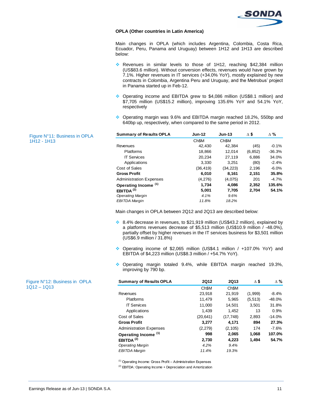

#### **OPLA (Other countries in Latin America)**

Main changes in OPLA (which includes Argentina, Colombia, Costa Rica, Ecuador, Peru, Panama and Uruguay) between 1H12 and 1H13 are described below:

- \* Revenues in similar levels to those of 1H12, reaching \$42,384 million (US\$83.6 million). Without conversion effects, revenues would have grown by 7.1%. Higher revenues in IT services (+34.0% YoY), mostly explained by new contracts in Colombia, Argentina Peru and Uruguay, and the Metrobus' project in Panama started up in Feb-12.
- Operating income and EBITDA grew to \$4,086 million (US\$8.1 million) and \$7,705 million (US\$15.2 million), improving 135.6% YoY and 54.1% YoY, respectively
- Operating margin was 9.6% and EBITDA margin reached 18.2%, 550bp and 640bp up, respectively, when compared to the same period in 2012.

| <b>Summary of Results OPLA</b> | <b>Jun-12</b>     | <b>Jun-13</b>     | Δ\$      | $\Delta$ % |
|--------------------------------|-------------------|-------------------|----------|------------|
|                                | Ch <sub>\$M</sub> | Ch <sub>\$M</sub> |          |            |
| Revenues                       | 42,430            | 42.384            | (45)     | $-0.1%$    |
| Platforms                      | 18,866            | 12.014            | (6, 852) | $-36.3%$   |
| <b>IT Services</b>             | 20,234            | 27,119            | 6.886    | 34.0%      |
| Applications                   | 3,330             | 3,251             | (80)     | $-2.4%$    |
| Cost of Sales                  | (36, 419)         | (34, 223)         | 2,196    | $-6.0%$    |
| <b>Gross Profit</b>            | 6,010             | 8,161             | 2,151    | 35.8%      |
| <b>Administration Expenses</b> | (4,276)           | (4,075)           | 201      | $-4.7%$    |
| Operating Income (1)           | 1,734             | 4,086             | 2,352    | 135.6%     |
| EBITDA $(2)$                   | 5,001             | 7,705             | 2.704    | 54.1%      |
| <b>Operating Margin</b>        | 4.1%              | 9.6%              |          |            |
| EBITDA Margin                  | 11.8%             | 18.2%             |          |            |

Main changes in OPLA between 2Q12 and 2Q13 are described below:

- 8.4% decrease in revenues, to \$21,919 million (US\$43.2 million), explained by a platforms revenues decrease of \$5,513 million (US\$10.9 million / -48.0%), partially offset by higher revenues in the IT services business for \$3,501 million (US\$6.9 million / 31.8%)
- Operating income of \$2,065 million (US\$4.1 million / +107.0% YoY) and EBITDA of \$4,223 million (US\$8.3 million / +54.7% YoY).
- Operating margin totaled 9.4%, while EBITDA margin reached 19.3%, improving by 790 bp.

| <b>Summary of Results OPLA</b>  | <b>2Q12</b> | 2Q13              | Δ\$     | $\Delta \%$ |
|---------------------------------|-------------|-------------------|---------|-------------|
|                                 | Ch\$M       | Ch <sub>\$M</sub> |         |             |
| Revenues                        | 23.918      | 21.919            | (1,999) | $-8.4%$     |
| <b>Platforms</b>                | 11.479      | 5,965             | (5,513) | $-48.0%$    |
| <b>IT Services</b>              | 11,000      | 14,501            | 3,501   | 31.8%       |
| Applications                    | 1,439       | 1,452             | 13      | 0.9%        |
| Cost of Sales                   | (20, 641)   | (17, 748)         | 2,893   | $-14.0%$    |
| <b>Gross Profit</b>             | 3,277       | 4,171             | 894     | 27.3%       |
| <b>Administration Expenses</b>  | (2, 279)    | (2, 105)          | 174     | $-7.6%$     |
| Operating Income <sup>(1)</sup> | 998         | 2,065             | 1,068   | 107.0%      |
| EBITDA $(2)$                    | 2,730       | 4,223             | 1.494   | 54.7%       |
| <b>Operating Margin</b>         | 4.2%        | 9.4%              |         |             |
| <b>EBITDA Margin</b>            | 11.4%       | 19.3%             |         |             |

(1) Operating Income: Gross Profit – Administration Expenses

(2) EBITDA: Operating Income + Depreciation and Amortization

Figure N°11: Business in OPLA 1H12 - 1H13

Figure N°12: Business in OPLA 1Q12 – 1Q13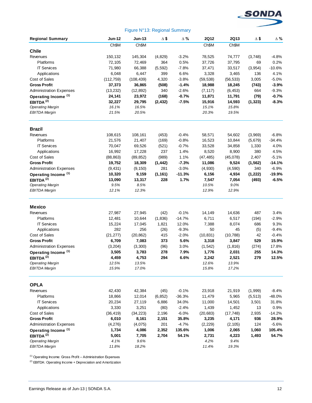

# **Regional Summary Jun-12 Jun-13 ∆ \$ ∆ % 2Q12 2Q13 ∆ \$ ∆ %** Ch\$M Ch\$M Ch\$M Ch\$M **Chile** Revenues 150,132 145,304 (4,829) -3.2% 78,525 74,777 (3,748) -4.8% Platforms 72,105 72,469 364 0.5% 37,726 37,795 69 0.2% IT Services 71,980 66,388 (5,592) -7.8% 37,471 33,517 (3,954) -10.6% Applications 6,048 6,447 399 6.6% 3,328 3,465 136 4.1% Cost of Sales (112,759) (108,439) 4,320 -3.8% (59,538) (56,533) 3,005 -5.0% **Gross Profit 37,373 36,865 (508) -1.4% 18,988 18,245 (743) -3.9%** Administration Expenses (13,232) (12,892) 340 -2.6% (7,117) (6,453) 664 -9.3% **Operating Income (1) 24,141 23,972 (168) -0.7% 11,871 11,791 (79) -0.7% EBITDA (2) 32,227 29,795 (2,432) -7.5% 15,916 14,593 (1,323) -8.3%** *Operating Margin 16.1% 16.5% 15.1% 15.8% EBITDA Margin 21.5% 20.5% 20.3% 19.5%* **Brazil** Revenues 108,615 108,161 (453) -0.4% 58,571 54,602 (3,969) -6.8% Platforms 21,576 21,407 (169) -0.8% 16,523 10,844 (5,679) -34.4% IT Services 70,047 69,526 (521) -0.7% 33,528 34,858 1,330 4.0% Applications 16,992 17,228 237 1.4% 8,520 8,900 380 4.5% Cost of Sales (88,863) (89,852) (989) 1.1% (47,485) (45,078) 2,407 -5.1% **Gross Profit 19,752 18,309 (1,442) -7.3% 11,086 9,524 (1,562) -14.1%** Administration Expenses (9,431) (9,150) 281 -3.0% (4,930) (4,590) 340 -6.9% **Operating Income (1) 10,320 9,159 (1,161) -11.3% 6,156 4,934 (1,222) -19.9% EBITDA (2) 13,090 13,317 228 1.7% 7,547 7,054 (493) -6.5%** *Operating Margin 9.5% 8.5% 10.5% 9.0% EBITDA Margin 12.1% 12.3% 12.9% 12.9%* **Mexico** Revenues 27,987 27,945 (42) -0.1% 14,149 14,636 487 3.4% Platforms 12,481 10,644 (1,836) -14.7% 6,711 6,517 (194) -2.9% IT Services 15,224 17,045 1,821 12.0% 7,388 8,074 686 9.3% Applications 282 256 (26) -9.3% 50 45 (5) -9.4% Cost of Sales (21,277) (20,862) 415 -2.0% (10,831) (10,788) 42 -0.4% **Gross Profit 6,709 7,083 373 5.6% 3,318 3,847 529 15.9%** Administration Expenses (3,204) (3,300) (96) 3.0% (1,542) (1,816) (274) 17.8% **Operating Income (1) 3,505 3,783 278 7.9% 1,776 2,031 255 14.3% EBITDA (2) 4,459 4,753 294 6.6% 2,242 2,521 279 12.5%** *Operating Margin 12.5% 13.5% 12.6% 13.9% EBITDA Margin 15.9% 17.0% 15.8% 17.2%* **OPLA** Revenues 42,430 42,384 (45) -0.1% 23,918 21,919 (1,999) -8.4% Platforms 18,866 12,014 (6,852) -36.3% 11,479 5,965 (5,513) -48.0% IT Services 20,234 27,119 6,886 34.0% 11,000 14,501 3,501 31.8% Applications 3,330 3,251 (80) -2.4% 1,439 1,452 13 0.9% Cost of Sales (36,419) (34,223) 2,196 -6.0% (20,683) (17,748) 2,935 -14.2% **Gross Profit 6,010 8,161 2,151 35.8% 3,235 4,171 936 28.9%** Administration Expenses (4,276) (4,075) 201 -4.7% (2,229) (2,105) 124 -5.6% **Operating Income (1) 1,734 4,086 2,352 135.6% 1,006 2,065 1,060 105.4% EBITDA (2) 5,001 7,705 2,704 54.1% 2,731 4,223 1,493 54.7%** *Operating Margin 4.1% 9.6% 4.2% 9.4% EBITDA Margin 11.8% 18.2% 11.4% 19.3%* Figure N°13: Regional Summary

 $(1)$  Operating Income: Gross Profit – Administration Expenses

<sup>(2)</sup> EBITDA: Operating Income + Depreciation and Amortization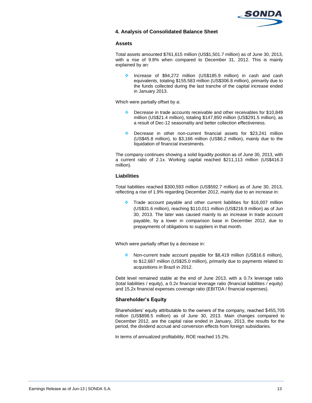

## **4. Analysis of Consolidated Balance Sheet**

## **Assets**

Total assets amounted \$761,615 million (US\$1,501.7 million) as of June 30, 2013, with a rise of 9.8% when compared to December 31, 2012. This is mainly explained by an:

 Increase of \$94,272 million (US\$185.9 million) in cash and cash equivalents, totaling \$155.583 million (US\$306.8 million), primarily due to the funds collected during the last tranche of the capital increase ended in January 2013.

Which were partially offset by a:

- Decrease in trade accounts receivable and other receivables for \$10,849 million (US\$21.4 million), totaling \$147,850 million (US\$291.5 million), as a result of Dec-12 seasonality and better collection effectiveness.
- Decrease in other non-current financial assets for \$23,241 million (US\$45.8 million), to \$3,166 million (US\$6.2 million), mainly due to the liquidation of financial investments.

The company continues showing a solid liquidity position as of June 30, 2013, with a current ratio of 2.1x. Working capital reached \$211,113 million (US\$416.3 million).

## **Liabilities**

Total liabilities reached \$300,593 million (US\$592.7 million) as of June 30, 2013, reflecting a rise of 1.9% regarding December 2012, mainly due to an increase in:

 Trade account payable and other current liabilities for \$16,007 million (US\$31.6 million), reaching \$110,011 million (US\$216.9 million) as of Jun 30, 2013. The later was caused mainly to an increase in trade account payable, by a lower in comparison base in December 2012, due to prepayments of obligations to suppliers in that month.

Which were partially offset by a decrease in:

 Non-current trade account payable for \$8,419 million (US\$16.6 million), to \$12,687 million (US\$25.0 million), primarily due to payments related to acquisitions in Brazil in 2012.

Debt level remained stable at the end of June 2013, with a 0.7x leverage ratio (total liabilities / equity), a 0.2x financial leverage ratio (financial liabilities / equity) and 15.2x financial expenses coverage ratio (EBITDA / financial expenses).

## **Shareholder's Equity**

Shareholders' equity attributable to the owners of the company, reached \$455,705 million (US\$898.5 million) as of June 30, 2013. Main changes compared to December 2012, are the capital raise ended in January, 2013, the results for the period, the dividend accrual and conversion effects from foreign subsidiaries.

In terms of annualized profitability, ROE reached 15.2%.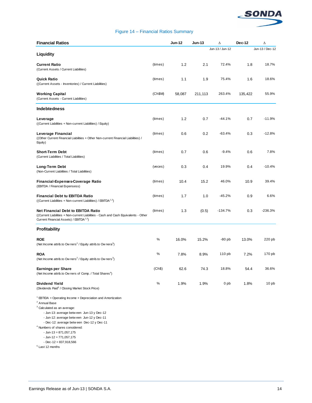

## Figure 14 – Financial Ratios Summary

| <b>Financial Ratios</b>                                                                                                                                                                                                                                                                                                                                                                                                                |         | <b>Jun-12</b> | <b>Jun-13</b> | Δ               | Dec-12  | Δ                |
|----------------------------------------------------------------------------------------------------------------------------------------------------------------------------------------------------------------------------------------------------------------------------------------------------------------------------------------------------------------------------------------------------------------------------------------|---------|---------------|---------------|-----------------|---------|------------------|
| Liquidity                                                                                                                                                                                                                                                                                                                                                                                                                              |         |               |               | Jun-13 / Jun-12 |         | Jun-13 / Dec-12  |
| <b>Current Ratio</b><br>(Current Assets / Current Liabilities)                                                                                                                                                                                                                                                                                                                                                                         | (times) | 1.2           | 2.1           | 72.4%           | 1.8     | 18.7%            |
| Quick Ratio<br>((Current Assets - Inventories) / Current Liabilities)                                                                                                                                                                                                                                                                                                                                                                  | (times) | 1.1           | 1.9           | 75.4%           | 1.6     | 18.6%            |
| Working Capital<br>(Current Assets - Current Liabilities)                                                                                                                                                                                                                                                                                                                                                                              | (Ch\$M) | 58,087        | 211,113       | 263.4%          | 135,422 | 55.9%            |
| <b>Indebtedness</b>                                                                                                                                                                                                                                                                                                                                                                                                                    |         |               |               |                 |         |                  |
| Leverage<br>((Current Liabilities + Non-current Liabilities) / Equity)                                                                                                                                                                                                                                                                                                                                                                 | (times) | 1.2           | 0.7           | $-44.1%$        | 0.7     | $-11.9%$         |
| Leverage Financial<br>((Other Current Financial Liabilities + Other Non-current Financial Liabilities) /<br>Equity)                                                                                                                                                                                                                                                                                                                    | (times) | 0.6           | 0.2           | $-63.4%$        | 0.3     | $-12.8%$         |
| <b>Short-Term Debt</b><br>(Current Liabilities / Total Liabilities)                                                                                                                                                                                                                                                                                                                                                                    | (times) | 0.7           | 0.6           | $-9.4%$         | 0.6     | 7.8%             |
| Long-Term Debt<br>(Non-Current Liabilities / Total Liabilities)                                                                                                                                                                                                                                                                                                                                                                        | (veces) | 0.3           | 0.4           | 19.9%           | 0.4     | $-10.4%$         |
| Financial-Expenses-Coverage Ratio<br>(EBITDA / Financial Expensess)                                                                                                                                                                                                                                                                                                                                                                    | (times) | 10.4          | 15.2          | 46.0%           | 10.9    | 39.4%            |
| <b>Financial Debt tu EBITDA Ratio</b><br>((Current Liabilities + Non-current Liabilities) / EBITDA <sup>1,2</sup> )                                                                                                                                                                                                                                                                                                                    | (times) | 1.7           | 1.0           | -45.2%          | 0.9     | 6.6%             |
| <b>Net Financial Debt to EBITDA Ratio</b><br>((Current Liabilities + Non-current Liabilities - Cash and Cash Equivalents - Other<br>Current Financial Assets) / EBITDA <sup>1,2</sup> )                                                                                                                                                                                                                                                | (times) | 1.3           | (0.5)         | $-134.7%$       | 0.3     | $-236.3%$        |
| Profitability                                                                                                                                                                                                                                                                                                                                                                                                                          |         |               |               |                 |         |                  |
| ROE<br>(Net Income attrib.to Ow ners <sup>2</sup> / Equity attrib.to Ow nera <sup>3</sup> )                                                                                                                                                                                                                                                                                                                                            | ℅       | 16.0%         | 15.2%         | $-80$ pb        | 13.0%   | 220 pb           |
| <b>ROA</b><br>(Net Income attrib.to Ow ners <sup>2</sup> / Equity attrib.to Ow ners <sup>3</sup> )                                                                                                                                                                                                                                                                                                                                     | ℅       | 7.8%          | 8.9%          | 110 pb          | 7.2%    | 170 pb           |
| <b>Earnings per Share</b><br>(Net Income attrib.to Ow ners of Comp. / Total Shares <sup>4</sup> )                                                                                                                                                                                                                                                                                                                                      | (Ch\$)  | 62.6          | 74.3          | 18.8%           | 54.4    | 36.6%            |
| <b>Dividend Yield</b><br>(Dividends Paid <sup>5</sup> / Closing Market Stock Price)                                                                                                                                                                                                                                                                                                                                                    | $\%$    | 1.9%          | 1.9%          | 0 pb            | 1.8%    | 10 <sub>pb</sub> |
| $1$ EBTIDA = Operating Income + Depreciation and Amortization<br><sup>2</sup> Annual Base<br><sup>3</sup> Calculated as an average:<br>- Jun-13: average between Jun-13 y Dec-12<br>- Jun-12: average between Jun-12 y Dec-11<br>- Dec-12: average betw een Dec-12 y Dec-11<br><sup>4</sup> Numbers of shares considered:<br>$-$ Jun-13 = 871,057,175<br>$-$ Jun-12 = 771,057,175<br>$-$ Dec $-12 = 837,918,566$<br>$5$ Last 12 months |         |               |               |                 |         |                  |